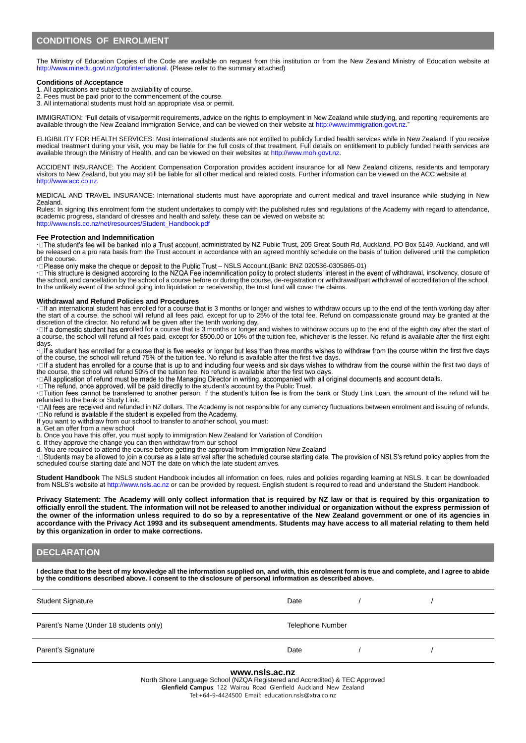The Ministry of Education Copies of the Code are available on request from this institution or from the New Zealand Ministry of Education website at http://www.minedu.govt.nz/goto/international. (Please refer to the summary attached)

## **Conditions of Acceptance**

- 1. All applications are subject to availability of course.
- 2. Fees must be paid prior to the commencement of the course. 3. All international students must hold an appropriate visa or permit.

IMMIGRATION: "Full details of visa/permit requirements, advice on the rights to employment in New Zealand while studying, and reporting requirements are available through the New Zealand Immigration Service, and can be viewed on their website at http://www.immigration.govt.nz."

ELIGIBILITY FOR HEALTH SERVICES: Most international students are not entitled to publicly funded health services while in New Zealand. If you receive medical treatment during your visit, you may be liable for the full costs of that treatment. Full details on entitlement to publicly funded health services are available through the Ministry of Health, and can be viewed on their websites at http://www.moh.govt.nz.

ACCIDENT INSURANCE: The Accident Compensation Corporation provides accident insurance for all New Zealand citizens, residents and temporary visitors to New Zealand, but you may still be liable for all other medical and related costs. Further information can be viewed on the ACC website at http://www.acc.co.nz.

MEDICAL AND TRAVEL INSURANCE: International students must have appropriate and current medical and travel insurance while studying in New Zealand.

Rules: In signing this enrolment form the student undertakes to comply with the published rules and regulations of the Academy with regard to attendance, academic progress, standard of dresses and health and safety, these can be viewed on website at: http://www.nsls.co.nz/net/resources/Student\_Handbook.pdf

#### **Fee Protection and Indemnification**

· O The student's fee will be banked into a Trust account, administrated by NZ Public Trust, 205 Great South Rd, Auckland, PO Box 5149, Auckland, and will be released on a pro rata basis from the Trust account in accordance with an agreed monthly schedule on the basis of tuition delivered until the completion of the course.

**·** – NSLS Account.(Bank: BNZ 020536-0305865-01)

· □ This structure is designed according to the NZQA Fee indemnification policy to protect students' interest in the event of withdrawal, insolvency, closure of the school, and cancellation by the school of a course before or during the course, de-registration or withdrawal/part withdrawal of accreditation of the school. In the unlikely event of the school going into liquidation or receivership, the trust fund will cover the claims.

#### **Withdrawal and Refund Policies and Procedures**

**·** If an international student has enrolled for a course that is 3 months or longer and wishes to withdraw occurs up to the end of the tenth working day after the start of a course, the school will refund all fees paid, except for up to 25% of the total fee. Refund on compassionate ground may be granted at the discretion of the director. No refund will be given after the tenth working day.

· □ If a domestic student has enrolled for a course that is 3 months or longer and wishes to withdraw occurs up to the end of the eighth day after the start of a course, the school will refund all fees paid, except for \$500.00 or 10% of the tuition fee, whichever is the lesser. No refund is available after the first eight days.

·□ If a student has enrolled for a course that is five weeks or longer but less than three months wishes to withdraw from the course within the first five days of the course, the school will refund 75% of the tuition fee. No refund is available after the first five days.

·□If a student has enrolled for a course that is up to and including four weeks and six days wishes to withdraw from the course within the first two days of the course, the school will refund 50% of the tuition fee. No refund is available after the first two days.

∙⊡All application of refund must be made to the Managing Director in writing, accompanied with all original documents and account details.

·□ The refund, once approved, will be paid directly to the student's account by the Public Trust.

·□ Tuition fees cannot be transferred to another person. If the student's tuition fee is from the bank or Study Link Loan, the amount of the refund will be refunded to the bank or Study Link.

·□All fees are received and refunded in NZ dollars. The Academy is not responsible for any currency fluctuations between enrolment and issuing of refunds.<br>·□No refund is available if the student is expelled from the Acade

If you want to withdraw from our school to transfer to another school, you must:

a. Get an offer from a new school

b. Once you have this offer, you must apply to immigration New Zealand for Variation of Condition

c. If they approve the change you can then withdraw from our school

d. You are required to attend the course before getting the approval from Immigration New Zealand

∙⊡Students may be allowed to join a course as a late arrival after the scheduled course starting date. The provision of NSLS's refund policy applies from the scheduled course starting date and NOT the date on which the late student arrives.

**Student Handbook** The NSLS student Handbook includes all information on fees, rules and policies regarding learning at NSLS. It can be downloaded from NSLS's website at http://www.nsls.ac.nz or can be provided by request. English student is required to read and understand the Student Handbook

**Privacy Statement: The Academy will only collect information that is required by NZ law or that is required by this organization to officially enroll the student. The information will not be released to another individual or organization without the express permission of the owner of the information unless required to do so by a representative of the New Zealand government or one of its agencies in accordance with the Privacy Act 1993 and its subsequent amendments. Students may have access to all material relating to them held by this organization in order to make corrections.**

# **DECLARATION**

**I declare that to the best of my knowledge all the information supplied on, and with, this enrolment form is true and complete, and I agree to abide by the conditions described above. I consent to the disclosure of personal information as described above.**

| <b>Student Signature</b>               | Date                    |  |  |
|----------------------------------------|-------------------------|--|--|
| Parent's Name (Under 18 students only) | <b>Telephone Number</b> |  |  |
| Parent's Signature                     | Date                    |  |  |

## **www.nsls.ac.nz**

North Shore Language School (NZQA Registered and Accredited) & TEC Approved **Glenfield Campus**: 122 Wairau Road Glenfield Auckland New Zealand Tel:+64-9-4424500 Email: education.nsls@xtra.co.nz